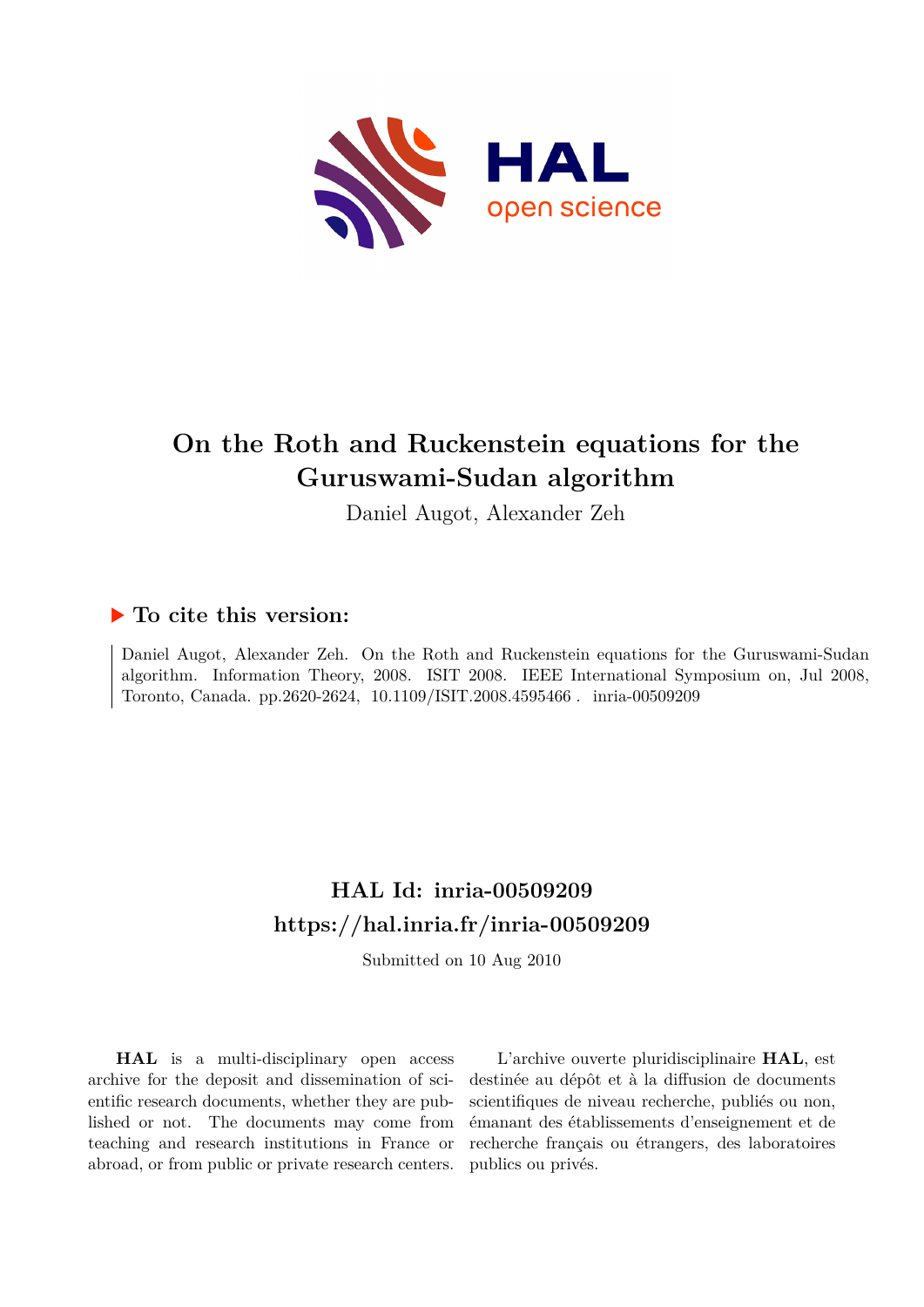

## **On the Roth and Ruckenstein equations for the Guruswami-Sudan algorithm**

Daniel Augot, Alexander Zeh

### **To cite this version:**

Daniel Augot, Alexander Zeh. On the Roth and Ruckenstein equations for the Guruswami-Sudan algorithm. Information Theory, 2008. ISIT 2008. IEEE International Symposium on, Jul 2008, Toronto, Canada. pp.2620-2624,  $10.1109/ISIT.2008.4595466$ . inria-00509209

## **HAL Id: inria-00509209 <https://hal.inria.fr/inria-00509209>**

Submitted on 10 Aug 2010

**HAL** is a multi-disciplinary open access archive for the deposit and dissemination of scientific research documents, whether they are published or not. The documents may come from teaching and research institutions in France or abroad, or from public or private research centers.

L'archive ouverte pluridisciplinaire **HAL**, est destinée au dépôt et à la diffusion de documents scientifiques de niveau recherche, publiés ou non, émanant des établissements d'enseignement et de recherche français ou étrangers, des laboratoires publics ou privés.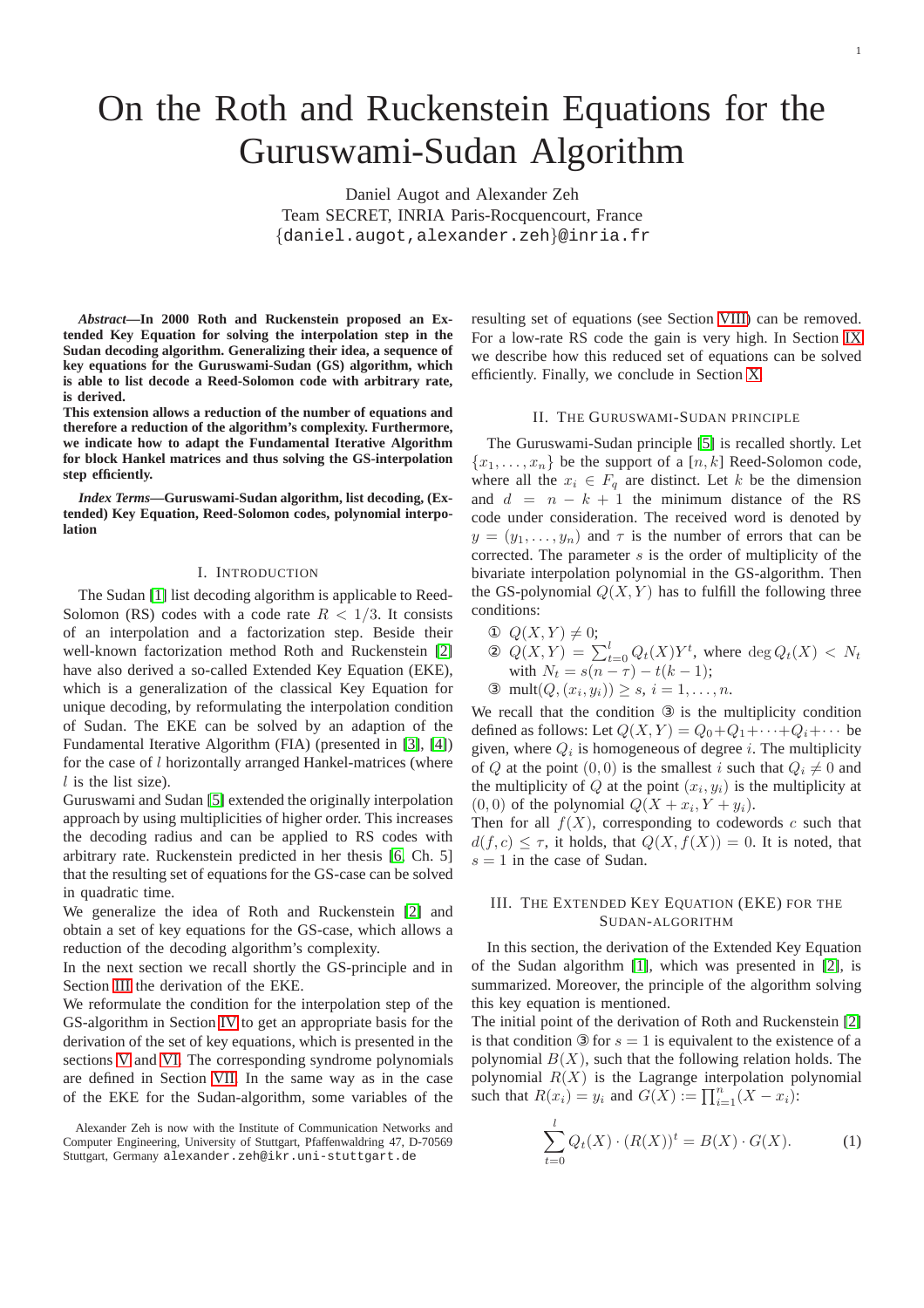1

# On the Roth and Ruckenstein Equations for the Guruswami-Sudan Algorithm

Daniel Augot and Alexander Zeh Team SECRET, INRIA Paris-Rocquencourt, France {daniel.augot,alexander.zeh}@inria.fr

*Abstract***—In 2000 Roth and Ruckenstein proposed an Extended Key Equation for solving the interpolation step in the Sudan decoding algorithm. Generalizing their idea, a sequence of key equations for the Guruswami-Sudan (GS) algorithm, which is able to list decode a Reed-Solomon code with arbitrary rate, is derived.**

**This extension allows a reduction of the number of equations and therefore a reduction of the algorithm's complexity. Furthermore, we indicate how to adapt the Fundamental Iterative Algorithm for block Hankel matrices and thus solving the GS-interpolation step efficiently.**

*Index Terms***—Guruswami-Sudan algorithm, list decoding, (Extended) Key Equation, Reed-Solomon codes, polynomial interpolation**

#### I. INTRODUCTION

The Sudan [\[1\]](#page-5-0) list decoding algorithm is applicable to Reed-Solomon (RS) codes with a code rate  $R < 1/3$ . It consists of an interpolation and a factorization step. Beside their well-known factorization method Roth and Ruckenstein [\[2\]](#page-5-1) have also derived a so-called Extended Key Equation (EKE), which is a generalization of the classical Key Equation for unique decoding, by reformulating the interpolation condition of Sudan. The EKE can be solved by an adaption of the Fundamental Iterative Algorithm (FIA) (presented in [\[3\]](#page-5-2), [\[4\]](#page-5-3)) for the case of l horizontally arranged Hankel-matrices (where  $l$  is the list size).

Guruswami and Sudan [\[5\]](#page-5-4) extended the originally interpolation approach by using multiplicities of higher order. This increases the decoding radius and can be applied to RS codes with arbitrary rate. Ruckenstein predicted in her thesis [\[6,](#page-5-5) Ch. 5] that the resulting set of equations for the GS-case can be solved in quadratic time.

We generalize the idea of Roth and Ruckenstein [\[2\]](#page-5-1) and obtain a set of key equations for the GS-case, which allows a reduction of the decoding algorithm's complexity.

In the next section we recall shortly the GS-principle and in Section [III](#page-1-0) the derivation of the EKE.

We reformulate the condition for the interpolation step of the GS-algorithm in Section [IV](#page-2-0) to get an appropriate basis for the derivation of the set of key equations, which is presented in the sections [V](#page-2-1) and [VI.](#page-3-0) The corresponding syndrome polynomials are defined in Section [VII.](#page-3-1) In the same way as in the case of the EKE for the Sudan-algorithm, some variables of the

resulting set of equations (see Section [VIII\)](#page-4-0) can be removed. For a low-rate RS code the gain is very high. In Section [IX](#page-4-1) we describe how this reduced set of equations can be solved efficiently. Finally, we conclude in Section [X.](#page-5-6)

#### II. THE GURUSWAMI-SUDAN PRINCIPLE

<span id="page-1-2"></span>The Guruswami-Sudan principle [\[5\]](#page-5-4) is recalled shortly. Let  ${x_1, \ldots, x_n}$  be the support of a [n, k] Reed-Solomon code, where all the  $x_i \in F_q$  are distinct. Let k be the dimension and  $d = n - k + 1$  the minimum distance of the RS code under consideration. The received word is denoted by  $y = (y_1, \ldots, y_n)$  and  $\tau$  is the number of errors that can be corrected. The parameter  $s$  is the order of multiplicity of the bivariate interpolation polynomial in the GS-algorithm. Then the GS-polynomial  $Q(X, Y)$  has to fulfill the following three conditions:

 $\Phi$   $Q(X, Y) \neq 0;$  $\mathfrak{D}(X,Y) = \sum_{t=0}^{l} Q_t(X) Y^t$ , where  $\deg Q_t(X) < N_t$ with  $N_t = s(n - \tau) - t(k - 1);$ 

3 mult $(Q, (x_i, y_i)) \ge s, i = 1, ..., n$ .

We recall that the condition ③ is the multiplicity condition defined as follows: Let  $Q(X, Y) = Q_0 + Q_1 + \cdots + Q_i + \cdots$  be given, where  $Q_i$  is homogeneous of degree *i*. The multiplicity of Q at the point  $(0, 0)$  is the smallest i such that  $Q_i \neq 0$  and the multiplicity of Q at the point  $(x_i, y_i)$  is the multiplicity at  $(0, 0)$  of the polynomial  $Q(X + x_i, Y + y_i)$ .

Then for all  $f(X)$ , corresponding to codewords c such that  $d(f, c) \leq \tau$ , it holds, that  $Q(X, f(X)) = 0$ . It is noted, that  $s = 1$  in the case of Sudan.

#### <span id="page-1-0"></span>III. THE EXTENDED KEY EQUATION (EKE) FOR THE SUDAN-ALGORITHM

In this section, the derivation of the Extended Key Equation of the Sudan algorithm [\[1\]](#page-5-0), which was presented in [\[2\]](#page-5-1), is summarized. Moreover, the principle of the algorithm solving this key equation is mentioned.

The initial point of the derivation of Roth and Ruckenstein [\[2\]](#page-5-1) is that condition  $\mathcal{D}$  for  $s = 1$  is equivalent to the existence of a polynomial  $B(X)$ , such that the following relation holds. The polynomial  $R(X)$  is the Lagrange interpolation polynomial such that  $R(x_i) = y_i$  and  $G(X) := \prod_{i=1}^n (X - x_i)$ :

<span id="page-1-1"></span>
$$
\sum_{t=0}^{l} Q_t(X) \cdot (R(X))^t = B(X) \cdot G(X). \tag{1}
$$

Alexander Zeh is now with the Institute of Communication Networks and Computer Engineering, University of Stuttgart, Pfaffenwaldring 47, D-70569 Stuttgart, Germany alexander.zeh@ikr.uni-stuttgart.de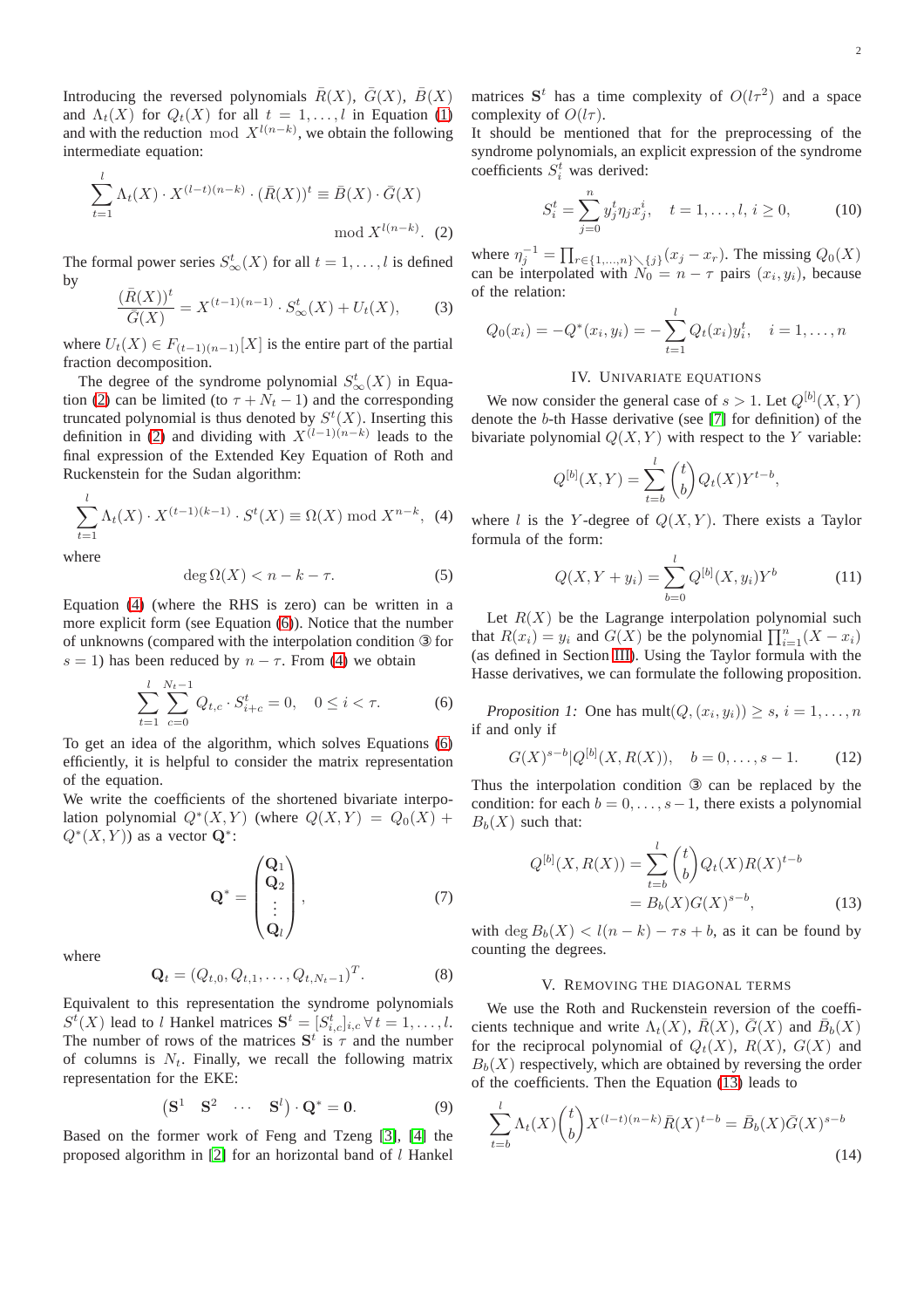Introducing the reversed polynomials  $\bar{R}(X)$ ,  $\bar{G}(X)$ ,  $\bar{B}(X)$ and  $\Lambda_t(X)$  for  $Q_t(X)$  for all  $t = 1, \ldots, l$  in Equation [\(1\)](#page-1-1) and with the reduction mod  $X^{l(n-k)}$ , we obtain the following intermediate equation:

$$
\sum_{t=1}^{l} \Lambda_t(X) \cdot X^{(l-t)(n-k)} \cdot (\bar{R}(X))^t \equiv \bar{B}(X) \cdot \bar{G}(X)
$$
  
mod  $X^{l(n-k)}$ . (2)

The formal power series  $S^t_{\infty}(X)$  for all  $t = 1, \ldots, l$  is defined by

$$
\frac{(\bar{R}(X))^{t}}{\bar{G}(X)} = X^{(t-1)(n-1)} \cdot S_{\infty}^{t}(X) + U_{t}(X),
$$
 (3)

where  $U_t(X) \in F_{(t-1)(n-1)}[X]$  is the entire part of the partial fraction decomposition.

The degree of the syndrome polynomial  $S^t_\infty(X)$  in Equa-tion [\(2\)](#page-1-1) can be limited (to  $\tau + N_t - 1$ ) and the corresponding truncated polynomial is thus denoted by  $S^t(X)$ . Inserting this definition in [\(2\)](#page-1-1) and dividing with  $X^{(l-1)(n-k)}$  leads to the final expression of the Extended Key Equation of Roth and Ruckenstein for the Sudan algorithm:

<span id="page-2-2"></span>
$$
\sum_{t=1}^{l} \Lambda_t(X) \cdot X^{(t-1)(k-1)} \cdot S^t(X) \equiv \Omega(X) \bmod X^{n-k}, \tag{4}
$$

where

$$
\deg \Omega(X) < n - k - \tau. \tag{5}
$$

Equation [\(4\)](#page-2-2) (where the RHS is zero) can be written in a more explicit form (see Equation [\(6\)](#page-2-3)). Notice that the number of unknowns (compared with the interpolation condition ③ for s = 1) has been reduced by  $n - \tau$ . From [\(4\)](#page-2-2) we obtain

<span id="page-2-3"></span>
$$
\sum_{t=1}^{l} \sum_{c=0}^{N_t - 1} Q_{t,c} \cdot S_{i+c}^t = 0, \quad 0 \le i < \tau.
$$
 (6)

To get an idea of the algorithm, which solves Equations [\(6\)](#page-2-3) efficiently, it is helpful to consider the matrix representation of the equation.

We write the coefficients of the shortened bivariate interpolation polynomial  $Q^*(X, Y)$  (where  $Q(X, Y) = Q_0(X) +$  $Q^*(X, Y)$  as a vector  $\mathbf{Q}^*$ :

$$
\mathbf{Q}^* = \begin{pmatrix} \mathbf{Q}_1 \\ \mathbf{Q}_2 \\ \vdots \\ \mathbf{Q}_l \end{pmatrix}, \tag{7}
$$

where

$$
\mathbf{Q}_t = (Q_{t,0}, Q_{t,1}, \dots, Q_{t,N_t-1})^T.
$$
 (8)

Equivalent to this representation the syndrome polynomials  $S^t(X)$  lead to l Hankel matrices  $S^t = [S^t_{i,c}]_{i,c} \forall t = 1, \ldots, l.$ The number of rows of the matrices  $S^t$  is  $\tau$  and the number of columns is  $N_t$ . Finally, we recall the following matrix representation for the EKE:

$$
\begin{pmatrix} \mathbf{S}^1 & \mathbf{S}^2 & \cdots & \mathbf{S}^l \end{pmatrix} \cdot \mathbf{Q}^* = \mathbf{0}.
$$
 (9)

Based on the former work of Feng and Tzeng [\[3\]](#page-5-2), [\[4\]](#page-5-3) the proposed algorithm in [\[2\]](#page-5-1) for an horizontal band of l Hankel

matrices  $S^t$  has a time complexity of  $O(l\tau^2)$  and a space complexity of  $O(l\tau)$ .

It should be mentioned that for the preprocessing of the syndrome polynomials, an explicit expression of the syndrome coefficients  $S_i^t$  was derived:

$$
S_i^t = \sum_{j=0}^n y_j^t \eta_j x_j^i, \quad t = 1, \dots, l, \, i \ge 0,
$$
 (10)

where  $\eta_j^{-1} = \prod_{r \in \{1, ..., n\} \setminus \{j\}} (x_j - x_r)$ . The missing  $Q_0(X)$ can be interpolated with  $N_0 = n - \tau$  pairs  $(x_i, y_i)$ , because of the relation:

$$
Q_0(x_i) = -Q^*(x_i, y_i) = -\sum_{t=1}^l Q_t(x_i) y_i^t, \quad i = 1, \dots, n
$$

#### IV. UNIVARIATE EQUATIONS

<span id="page-2-0"></span>We now consider the general case of  $s > 1$ . Let  $Q^{[b]}(X, Y)$ denote the b-th Hasse derivative (see [\[7\]](#page-5-7) for definition) of the bivariate polynomial  $Q(X, Y)$  with respect to the Y variable:

$$
Q^{[b]}(X,Y) = \sum_{t=b}^{l} {t \choose b} Q_t(X) Y^{t-b},
$$

where l is the Y-degree of  $Q(X, Y)$ . There exists a Taylor formula of the form:

$$
Q(X, Y + y_i) = \sum_{b=0}^{l} Q^{[b]}(X, y_i) Y^b
$$
 (11)

Let  $R(X)$  be the Lagrange interpolation polynomial such that  $R(x_i) = y_i$  and  $G(X)$  be the polynomial  $\prod_{i=1}^{n} (X - x_i)$ (as defined in Section [III\)](#page-1-0). Using the Taylor formula with the Hasse derivatives, we can formulate the following proposition.

*Proposition 1:* One has  $mult(Q, (x_i, y_i)) \geq s, i = 1, ..., n$ if and only if

<span id="page-2-4"></span>
$$
G(X)^{s-b}|Q^{[b]}(X, R(X)), \quad b = 0, \dots, s-1.
$$
 (12)

Thus the interpolation condition ③ can be replaced by the condition: for each  $b = 0, \ldots, s-1$ , there exists a polynomial  $B_h(X)$  such that:

$$
Q^{[b]}(X, R(X)) = \sum_{t=b}^{l} {t \choose b} Q_t(X) R(X)^{t-b}
$$
  
=  $B_b(X)G(X)^{s-b}$ , (13)

<span id="page-2-1"></span>with deg  $B_b(X) < l(n-k) - \tau s + b$ , as it can be found by counting the degrees.

#### V. REMOVING THE DIAGONAL TERMS

We use the Roth and Ruckenstein reversion of the coefficients technique and write  $\Lambda_t(X)$ ,  $\overline{R}(X)$ ,  $\overline{G}(X)$  and  $\overline{B}_b(X)$ for the reciprocal polynomial of  $Q_t(X)$ ,  $R(X)$ ,  $G(X)$  and  $B<sub>b</sub>(X)$  respectively, which are obtained by reversing the order of the coefficients. Then the Equation [\(13\)](#page-2-4) leads to

<span id="page-2-5"></span>
$$
\sum_{t=b}^{l} \Lambda_t(X) {t \choose b} X^{(l-t)(n-k)} \bar{R}(X)^{t-b} = \bar{B}_b(X) \bar{G}(X)^{s-b}
$$
\n(14)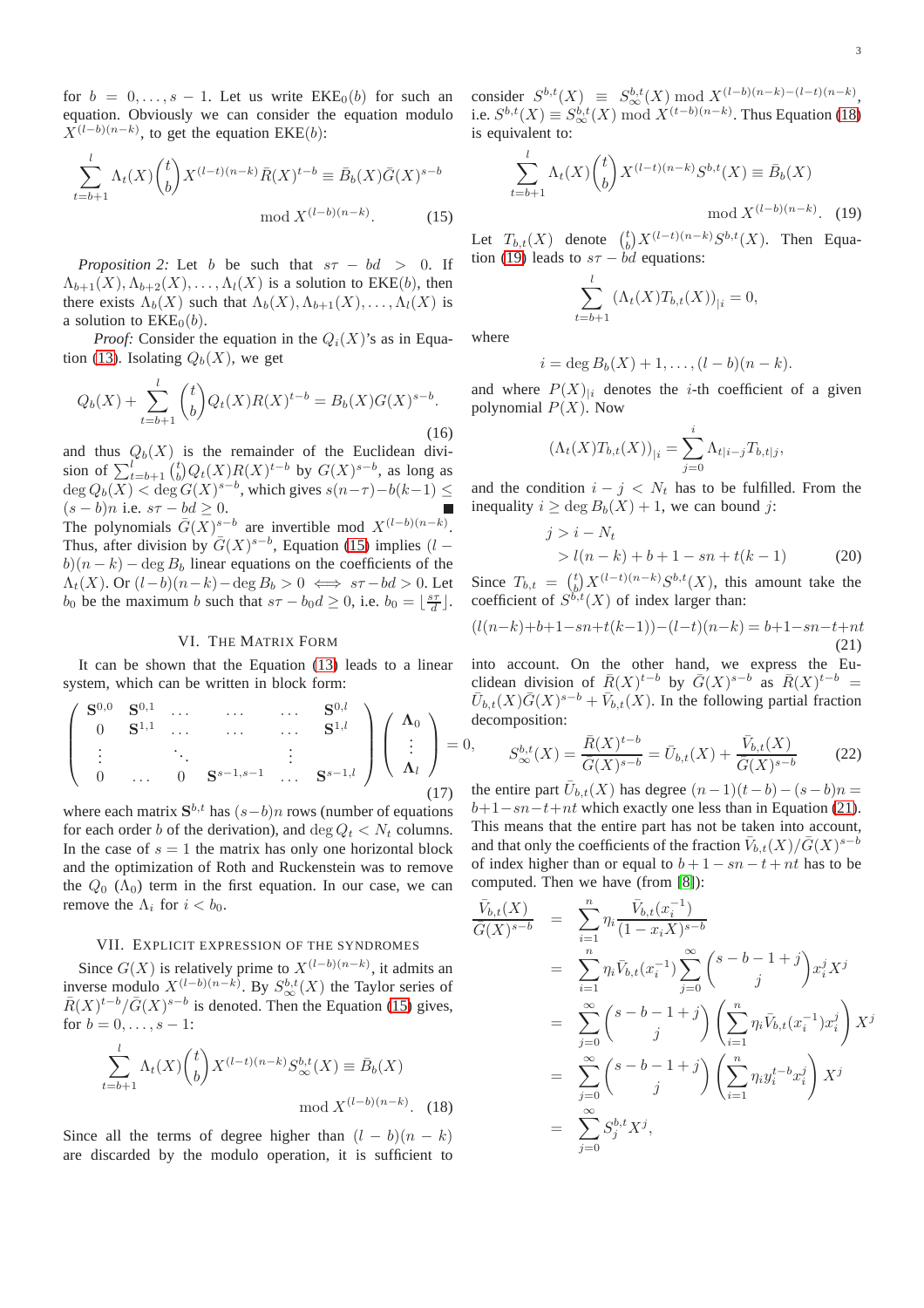for  $b = 0, \ldots, s - 1$ . Let us write  $EKE<sub>0</sub>(b)$  for such an equation. Obviously we can consider the equation modulo  $X^{(l-b)(n-k)}$ , to get the equation EKE(b):

$$
\sum_{t=b+1}^{l} \Lambda_t(X) {t \choose b} X^{(l-t)(n-k)} \bar{R}(X)^{t-b} \equiv \bar{B}_b(X) \bar{G}(X)^{s-b}
$$
  
mod  $X^{(l-b)(n-k)}$ . (15)

*Proposition 2:* Let b be such that  $s\tau - bd > 0$ . If  $\Lambda_{b+1}(X), \Lambda_{b+2}(X), \ldots, \Lambda_{l}(X)$  is a solution to EKE(b), then there exists  $\Lambda_b(X)$  such that  $\Lambda_b(X), \Lambda_{b+1}(X), \ldots, \Lambda_l(X)$  is a solution to  $EKE<sub>0</sub>(b)$ .

*Proof:* Consider the equation in the  $Q_i(X)$ 's as in Equa-tion [\(13\)](#page-2-4). Isolating  $Q_b(X)$ , we get

$$
Q_b(X) + \sum_{t=b+1}^{l} {t \choose b} Q_t(X) R(X)^{t-b} = B_b(X) G(X)^{s-b}.
$$
\n(16)

and thus  $Q_b(X)$  is the remainder of the Euclidean division of  $\sum_{t=b+1}^{l} {t \choose b} Q_t(X) R(X)^{t-b}$  by  $G(X)^{s-b}$ , as long as  $\deg Q_b(X) < \deg G(X)^{s-b}$ , which gives  $s(n-\tau)-b(k-1) \le$  $(s - b)n$  i.e.  $s\tau - bd \geq 0$ . The polynomials  $\bar{G}(X)^{s-b}$  are invertible mod  $X^{(l-b)(n-k)}$ . Thus, after division by  $\bar{G}(X)^{s-b}$ , Equation [\(15\)](#page-2-5) implies (l –  $b(n - k) - \deg B_b$  linear equations on the coefficients of the  $\Lambda_t(X)$ . Or  $(l-b)(n-k)-\deg B_b > 0 \iff s\tau - bd > 0$ . Let b<sub>0</sub> be the maximum b such that  $s\tau - b_0 d \ge 0$ , i.e.  $b_0 = \lfloor \frac{s\tau}{d} \rfloor$ .

#### VI. THE MATRIX FORM

<span id="page-3-0"></span>It can be shown that the Equation [\(13\)](#page-2-4) leads to a linear system, which can be written in block form:

$$
\begin{pmatrix}\n\mathbf{S}^{0,0} & \mathbf{S}^{0,1} & \dots & \dots & \dots & \mathbf{S}^{0,l} \\
0 & \mathbf{S}^{1,1} & \dots & \dots & \dots & \mathbf{S}^{1,l} \\
\vdots & \ddots & \vdots & \vdots & \vdots \\
0 & \dots & 0 & \mathbf{S}^{s-1,s-1} & \dots & \mathbf{S}^{s-1,l}\n\end{pmatrix}\n\begin{pmatrix}\n\mathbf{\Lambda}_0 \\
\vdots \\
\mathbf{\Lambda}_l\n\end{pmatrix} =
$$
\n(17)

where each matrix  $S^{b,t}$  has  $(s-b)n$  rows (number of equations for each order b of the derivation), and deg  $Q_t < N_t$  columns. In the case of  $s = 1$  the matrix has only one horizontal block and the optimization of Roth and Ruckenstein was to remove the  $Q_0$  ( $\Lambda_0$ ) term in the first equation. In our case, we can remove the  $\Lambda_i$  for  $i < b_0$ .

#### <span id="page-3-1"></span>VII. EXPLICIT EXPRESSION OF THE SYNDROMES

Since  $G(X)$  is relatively prime to  $X^{(l-b)(n-k)}$ , it admits an inverse modulo  $X^{(l-b)(n-k)}$ . By  $S^{b,t}_{\infty}(X)$  the Taylor series of  $\bar{R}(X)^{t-b}/\bar{G}(X)^{s-b}$  is denoted. Then the Equation [\(15\)](#page-2-5) gives, for  $b = 0, \ldots, s - 1$ :

$$
\sum_{t=b+1}^{l} \Lambda_t(X) {t \choose b} X^{(l-t)(n-k)} S_{\infty}^{b,t}(X) \equiv \bar{B}_b(X)
$$
  
mod  $X^{(l-b)(n-k)}$ . (18)

Since all the terms of degree higher than  $(l - b)(n - k)$ are discarded by the modulo operation, it is sufficient to

consider  $S^{b,t}(X) \equiv S^{b,t}_{\infty}(X) \mod X^{(l-b)(n-k)-(l-t)(n-k)},$ i.e.  $S^{b,t}(X) \equiv S^{b,t}_{\infty}(X) \mod X^{(t-b)(n-k)}$ . Thus Equation [\(18\)](#page-3-1) is equivalent to:

$$
\sum_{t=b+1}^{l} \Lambda_t(X) {t \choose b} X^{(l-t)(n-k)} S^{b,t}(X) \equiv \bar{B}_b(X)
$$
  
mod  $X^{(l-b)(n-k)}$ . (19)

Let  $T_{b,t}(X)$  denote  $\binom{t}{b} X^{(l-t)(n-k)} S^{b,t}(X)$ . Then Equa-tion [\(19\)](#page-3-1) leads to  $s\tau - bd$  equations:

$$
\sum_{t=b+1}^{l} (\Lambda_t(X)T_{b,t}(X))_{|i} = 0,
$$

where

= 0,

$$
i=\deg B_b(X)+1,\ldots,(l-b)(n-k).
$$

and where  $P(X)_{ii}$  denotes the *i*-th coefficient of a given polynomial  $P(X)$ . Now

$$
(\Lambda_t(X)T_{b,t}(X))_{|i} = \sum_{j=0}^i \Lambda_{t|i-j} T_{b,t|j},
$$

and the condition  $i - j < N_t$  has to be fulfilled. From the inequality  $i \ge \deg B_b(X) + 1$ , we can bound j:

$$
j > i - Nt > l(n - k) + b + 1 - sn + t(k - 1)
$$
 (20)

Since  $T_{b,t} = {t \choose b} X^{(l-t)(n-k)} S^{b,t}(X)$ , this amount take the coefficient of  $S^{b,t}(X)$  of index larger than:

<span id="page-3-2"></span>
$$
(l(n-k)+b+1-sn+t(k-1))-(l-t)(n-k) = b+1-sn-t+nt
$$
\n(21)

into account. On the other hand, we express the Euclidean division of  $\bar{R}(X)^{t-b}$  by  $\bar{G}(X)^{s-b}$  as  $\bar{R}(X)^{t-b}$  =  $\overline{U}_{b,t}(X)\overline{G}(X)^{s-b} + \overline{V}_{b,t}(X)$ . In the following partial fraction decomposition:

$$
S^{b,t}_{\infty}(X) = \frac{\bar{R}(X)^{t-b}}{\bar{G}(X)^{s-b}} = \bar{U}_{b,t}(X) + \frac{\bar{V}_{b,t}(X)}{\bar{G}(X)^{s-b}}
$$
(22)

the entire part  $\overline{U}_{b,t}(X)$  has degree  $(n-1)(t-b)-(s-b)n =$  $b+1-sn-t+nt$  which exactly one less than in Equation [\(21\)](#page-3-2). This means that the entire part has not be taken into account, and that only the coefficients of the fraction  $\bar{V}_{b,t}(X)/\bar{G}(X)^{s-b}$ of index higher than or equal to  $b + 1 - sn - t + nt$  has to be computed. Then we have (from [\[8\]](#page-5-8)):

$$
\frac{\bar{V}_{b,t}(X)}{\bar{G}(X)^{s-b}} = \sum_{i=1}^{n} \eta_i \frac{\bar{V}_{b,t}(x_i^{-1})}{(1-x_iX)^{s-b}}
$$
\n
$$
= \sum_{i=1}^{n} \eta_i \bar{V}_{b,t}(x_i^{-1}) \sum_{j=0}^{\infty} {s-b-1+j \choose j} x_i^j X^j
$$
\n
$$
= \sum_{j=0}^{\infty} {s-b-1+j \choose j} \left(\sum_{i=1}^{n} \eta_i \bar{V}_{b,t}(x_i^{-1}) x_i^j\right) X^j
$$
\n
$$
= \sum_{j=0}^{\infty} {s-b-1+j \choose j} \left(\sum_{i=1}^{n} \eta_i y_i^{t-b} x_i^j\right) X^j
$$
\n
$$
= \sum_{j=0}^{\infty} S_j^{b,t} X^j,
$$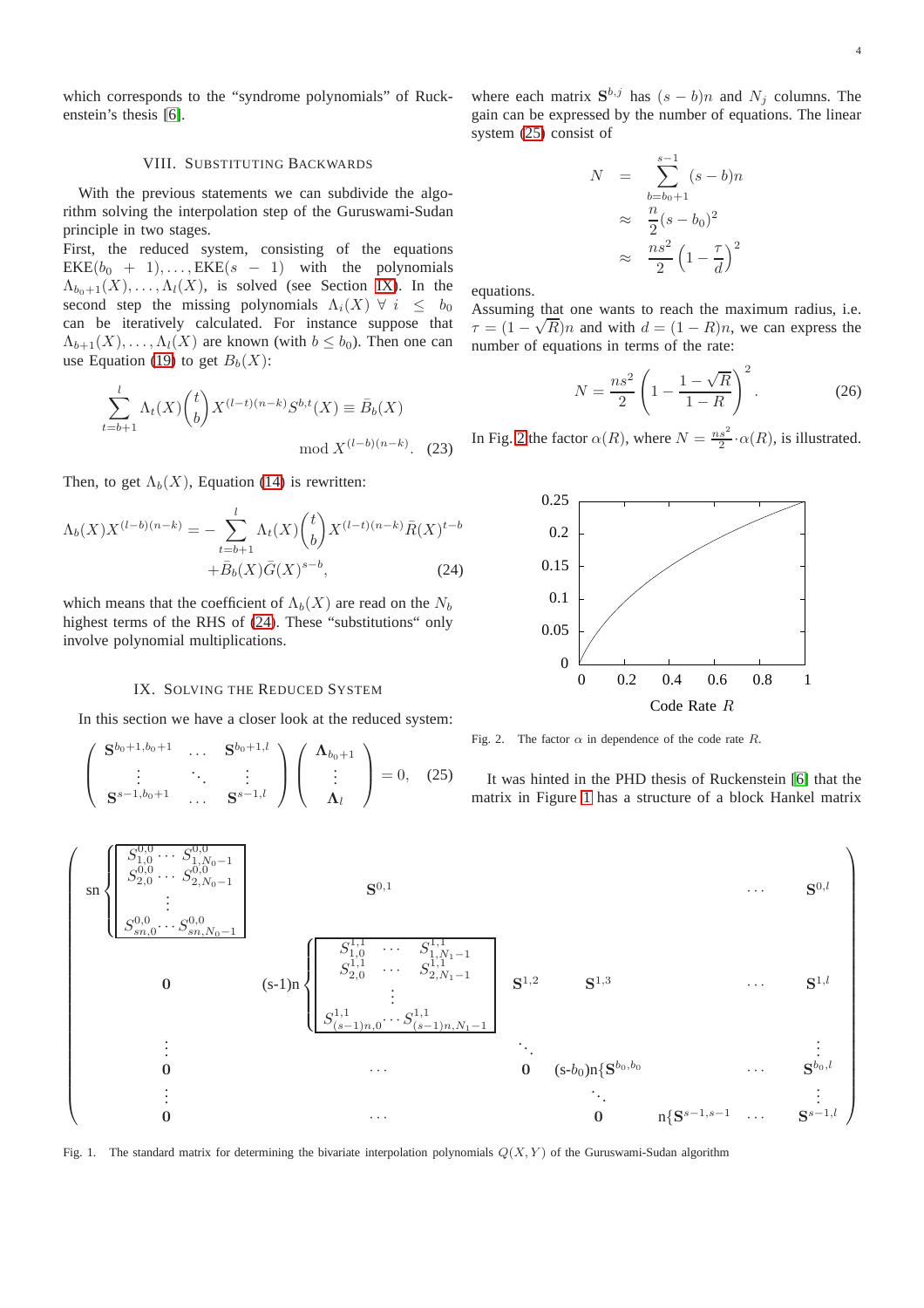<span id="page-4-0"></span>which corresponds to the "syndrome polynomials" of Ruckenstein's thesis [\[6\]](#page-5-5).

#### VIII. SUBSTITUTING BACKWARDS

With the previous statements we can subdivide the algorithm solving the interpolation step of the Guruswami-Sudan principle in two stages.

First, the reduced system, consisting of the equations  $EKE(b_0 + 1), \ldots, EKE(s - 1)$  with the polynomials  $\Lambda_{b_0+1}(X), \ldots, \Lambda_l(X)$ , is solved (see Section [IX\)](#page-4-1). In the second step the missing polynomials  $\Lambda_i(X)$   $\forall i \leq b_0$ can be iteratively calculated. For instance suppose that  $\Lambda_{b+1}(X), \ldots, \Lambda_l(X)$  are known (with  $b \leq b_0$ ). Then one can use Equation [\(19\)](#page-3-1) to get  $B_b(X)$ :

$$
\sum_{t=b+1}^{l} \Lambda_t(X) {t \choose b} X^{(l-t)(n-k)} S^{b,t}(X) \equiv \bar{B}_b(X)
$$
  
mod  $X^{(l-b)(n-k)}$ . (23)

Then, to get  $\Lambda_b(X)$ , Equation [\(14\)](#page-2-5) is rewritten:

$$
\Lambda_b(X)X^{(l-b)(n-k)} = -\sum_{t=b+1}^{l} \Lambda_t(X) {t \choose b} X^{(l-t)(n-k)} \bar{R}(X)^{t-b} + \bar{B}_b(X)\bar{G}(X)^{s-b},
$$
\n(24)

which means that the coefficient of  $\Lambda_b(X)$  are read on the  $N_b$ highest terms of the RHS of [\(24\)](#page-4-0). These "substitutions" only involve polynomial multiplications.

#### IX. SOLVING THE REDUCED SYSTEM

<span id="page-4-1"></span>In this section we have a closer look at the reduced system:

<span id="page-4-2"></span>
$$
\begin{pmatrix}\n\mathbf{S}^{b_0+1, b_0+1} & \cdots & \mathbf{S}^{b_0+1,l} \\
\vdots & \ddots & \vdots \\
\mathbf{S}^{s-1, b_0+1} & \cdots & \mathbf{S}^{s-1,l}\n\end{pmatrix}\n\begin{pmatrix}\n\mathbf{\Lambda}_{b_0+1} \\
\vdots \\
\mathbf{\Lambda}_l\n\end{pmatrix} = 0, (25)
$$

where each matrix  $S^{b,j}$  has  $(s - b)n$  and  $N_j$  columns. The gain can be expressed by the number of equations. The linear system [\(25\)](#page-4-2) consist of

$$
N = \sum_{b=b_0+1}^{s-1} (s-b)n
$$
  
\n
$$
\approx \frac{n}{2}(s-b_0)^2
$$
  
\n
$$
\approx \frac{ns^2}{2} \left(1 - \frac{\tau}{d}\right)^2
$$

equations.

Assuming that one wants to reach the maximum radius, i.e.  $\tau = (1 - \sqrt{R})n$  and with  $d = (1 - R)n$ , we can express the number of equations in terms of the rate:

$$
N = \frac{ns^2}{2} \left( 1 - \frac{1 - \sqrt{R}}{1 - R} \right)^2.
$$
 (26)

In Fig. [2](#page-4-3) the factor  $\alpha(R)$ , where  $N = \frac{ns^2}{2} \cdot \alpha(R)$ , is illustrated.



<span id="page-4-3"></span>Fig. 2. The factor  $\alpha$  in dependence of the code rate R.

It was hinted in the PHD thesis of Ruckenstein [\[6\]](#page-5-5) that the matrix in Figure [1](#page-4-4) has a structure of a block Hankel matrix



<span id="page-4-4"></span>Fig. 1. The standard matrix for determining the bivariate interpolation polynomials  $Q(X, Y)$  of the Guruswami-Sudan algorithm